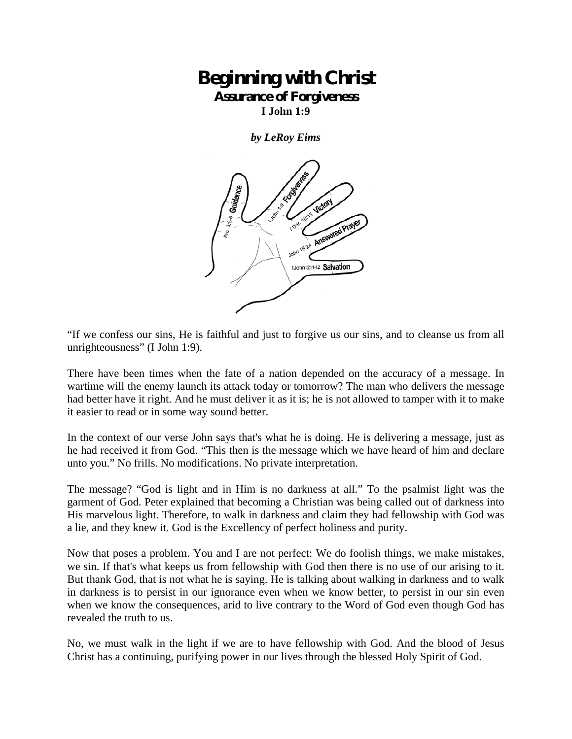## **Beginning with Christ Assurance of Forgiveness**

**I John 1:9** 

*by LeRoy Eims* 



"If we confess our sins, He is faithful and just to forgive us our sins, and to cleanse us from all unrighteousness" (I John 1:9).

There have been times when the fate of a nation depended on the accuracy of a message. In wartime will the enemy launch its attack today or tomorrow? The man who delivers the message had better have it right. And he must deliver it as it is; he is not allowed to tamper with it to make it easier to read or in some way sound better.

In the context of our verse John says that's what he is doing. He is delivering a message, just as he had received it from God. "This then is the message which we have heard of him and declare unto you." No frills. No modifications. No private interpretation.

The message? "God is light and in Him is no darkness at all." To the psalmist light was the garment of God. Peter explained that becoming a Christian was being called out of darkness into His marvelous light. Therefore, to walk in darkness and claim they had fellowship with God was a lie, and they knew it. God is the Excellency of perfect holiness and purity.

Now that poses a problem. You and I are not perfect: We do foolish things, we make mistakes, we sin. If that's what keeps us from fellowship with God then there is no use of our arising to it. But thank God, that is not what he is saying. He is talking about walking in darkness and to walk in darkness is to persist in our ignorance even when we know better, to persist in our sin even when we know the consequences, arid to live contrary to the Word of God even though God has revealed the truth to us.

No, we must walk in the light if we are to have fellowship with God. And the blood of Jesus Christ has a continuing, purifying power in our lives through the blessed Holy Spirit of God.